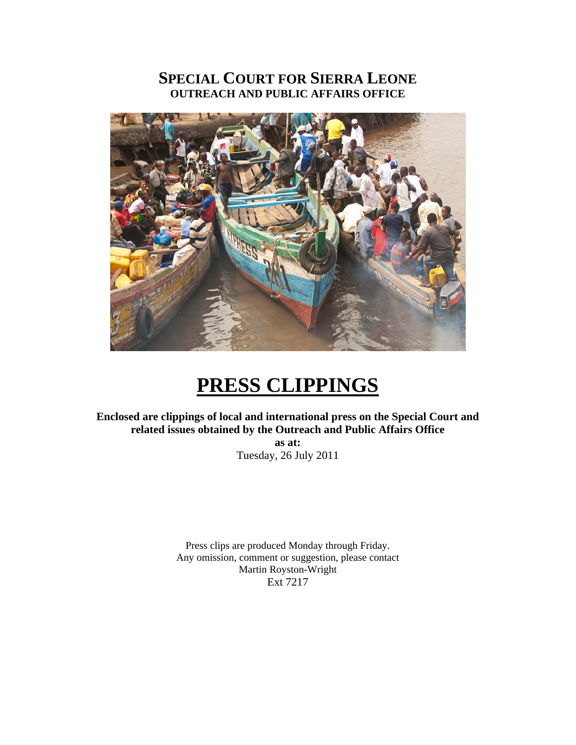### **SPECIAL COURT FOR SIERRA LEONE OUTREACH AND PUBLIC AFFAIRS OFFICE**



# **PRESS CLIPPINGS**

**Enclosed are clippings of local and international press on the Special Court and related issues obtained by the Outreach and Public Affairs Office** 

**as at:**  Tuesday, 26 July 2011

Press clips are produced Monday through Friday. Any omission, comment or suggestion, please contact Martin Royston-Wright Ext 7217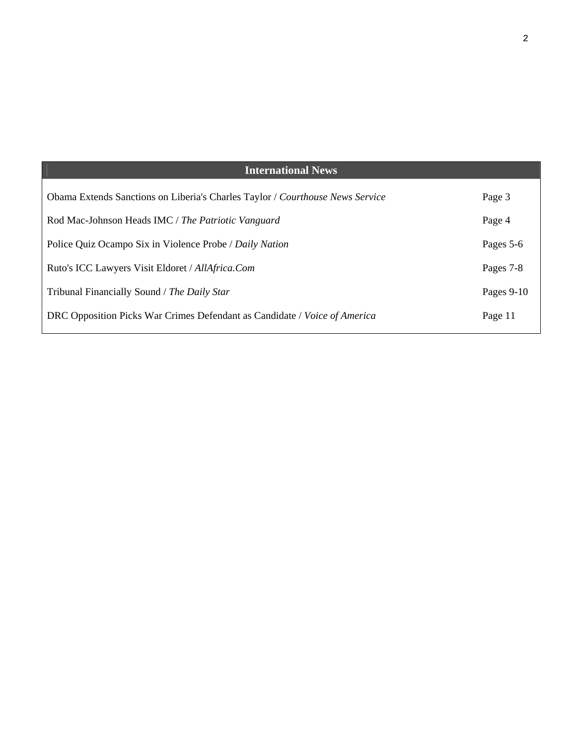| <b>International News</b>                                                     |              |
|-------------------------------------------------------------------------------|--------------|
| Obama Extends Sanctions on Liberia's Charles Taylor / Courthouse News Service | Page 3       |
| Rod Mac-Johnson Heads IMC / The Patriotic Vanguard                            | Page 4       |
| Police Quiz Ocampo Six in Violence Probe / Daily Nation                       | Pages 5-6    |
| Ruto's ICC Lawyers Visit Eldoret / AllAfrica.Com                              | Pages 7-8    |
| Tribunal Financially Sound / The Daily Star                                   | Pages $9-10$ |
| DRC Opposition Picks War Crimes Defendant as Candidate / Voice of America     | Page 11      |
|                                                                               |              |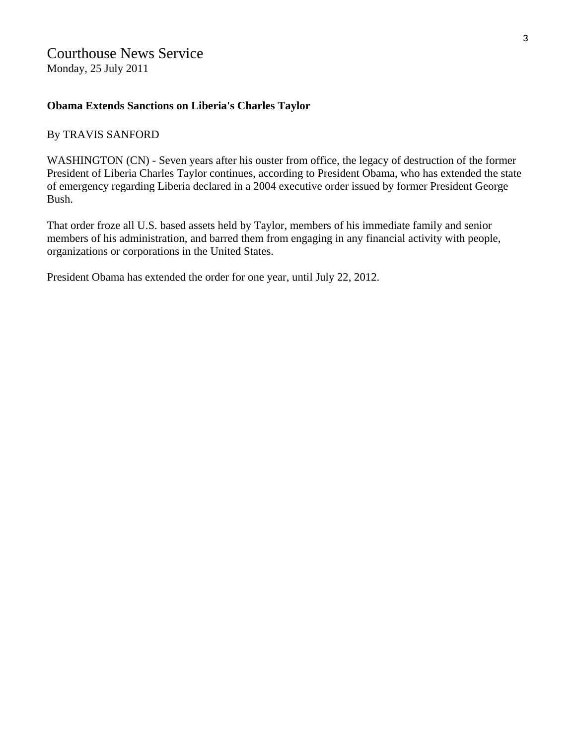## Courthouse News Service

Monday, 25 July 2011

### **Obama Extends Sanctions on Liberia's Charles Taylor**

### By TRAVIS SANFORD

WASHINGTON (CN) - Seven years after his ouster from office, the legacy of destruction of the former President of Liberia Charles Taylor continues, according to President Obama, who has extended the state of emergency regarding Liberia declared in a 2004 executive order issued by former President George Bush.

That order froze all U.S. based assets held by Taylor, members of his immediate family and senior members of his administration, and barred them from engaging in any financial activity with people, organizations or corporations in the United States.

President Obama has extended the order for one year, until July 22, 2012.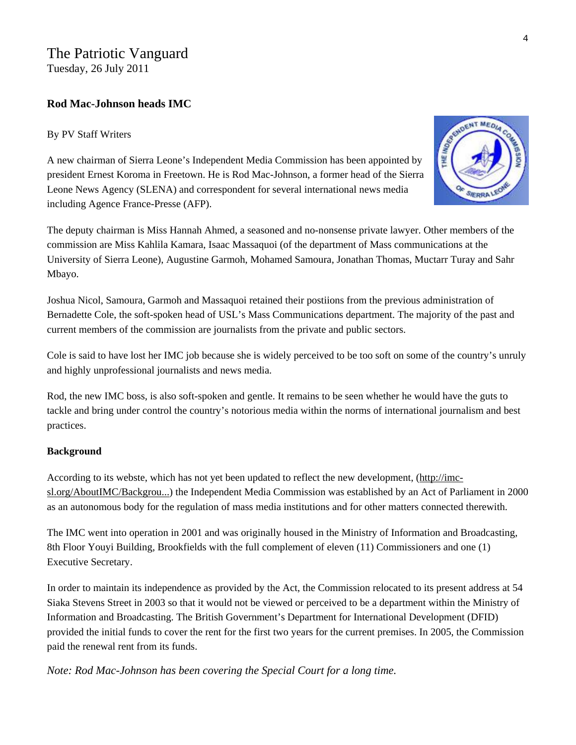### The Patriotic Vanguard Tuesday, 26 July 2011

### **Rod Mac-Johnson heads IMC**

### By PV Staff Writers



A new chairman of Sierra Leone's Independent Media Commission has been appointed by president Ernest Koroma in Freetown. He is Rod Mac-Johnson, a former head of the Sierra Leone News Agency (SLENA) and correspondent for several international news media including Agence France-Presse (AFP).

The deputy chairman is Miss Hannah Ahmed, a seasoned and no-nonsense private lawyer. Other members of the commission are Miss Kahlila Kamara, Isaac Massaquoi (of the department of Mass communications at the University of Sierra Leone), Augustine Garmoh, Mohamed Samoura, Jonathan Thomas, Muctarr Turay and Sahr Mbayo.

Joshua Nicol, Samoura, Garmoh and Massaquoi retained their postiions from the previous administration of Bernadette Cole, the soft-spoken head of USL's Mass Communications department. The majority of the past and current members of the commission are journalists from the private and public sectors.

Cole is said to have lost her IMC job because she is widely perceived to be too soft on some of the country's unruly and highly unprofessional journalists and news media.

Rod, the new IMC boss, is also soft-spoken and gentle. It remains to be seen whether he would have the guts to tackle and bring under control the country's notorious media within the norms of international journalism and best practices.

### **Background**

According to its webste, which has not yet been updated to reflect the new development, [\(http://imc](http://imc-sl.org/AboutIMC/Background/tabid/60/Default.aspx)[sl.org/AboutIMC/Backgrou...](http://imc-sl.org/AboutIMC/Background/tabid/60/Default.aspx)) the Independent Media Commission was established by an Act of Parliament in 2000 as an autonomous body for the regulation of mass media institutions and for other matters connected therewith.

The IMC went into operation in 2001 and was originally housed in the Ministry of Information and Broadcasting, 8th Floor Youyi Building, Brookfields with the full complement of eleven (11) Commissioners and one (1) Executive Secretary.

In order to maintain its independence as provided by the Act, the Commission relocated to its present address at 54 Siaka Stevens Street in 2003 so that it would not be viewed or perceived to be a department within the Ministry of Information and Broadcasting. The British Government's Department for International Development (DFID) provided the initial funds to cover the rent for the first two years for the current premises. In 2005, the Commission paid the renewal rent from its funds.

*Note: Rod Mac-Johnson has been covering the Special Court for a long time.*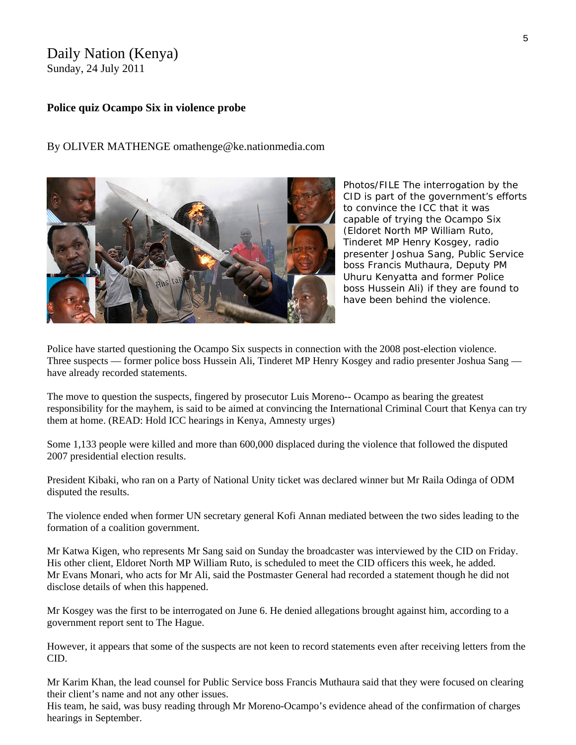## Daily Nation (Kenya)

Sunday, 24 July 2011

### **Police quiz Ocampo Six in violence probe**

### By OLIVER MATHENGE omathenge@ke.nationmedia.com

*Photos/FILE The interrogation by the CID is part of the government's efforts to convince the ICC that it was capable of trying the Ocampo Six (Eldoret North MP William Ruto, Tinderet MP Henry Kosgey, radio presenter Joshua Sang, Public Service boss Francis Muthaura, Deputy PM Uhuru Kenyatta and former Police boss Hussein Ali) if they are found to have been behind the violence.* 

Police have started questioning the Ocampo Six suspects in connection with the 2008 post-election violence. Three suspects — former police boss Hussein Ali, Tinderet MP Henry Kosgey and radio presenter Joshua Sang have already recorded statements.

The move to question the suspects, fingered by prosecutor Luis Moreno-- Ocampo as bearing the greatest responsibility for the mayhem, is said to be aimed at convincing the International Criminal Court that Kenya can try them at home. (READ: [Hold ICC hearings in Kenya, Amnesty urges](http://www.nation.co.ke/News/politics/Amnesty+backs+proposal+to+hold+ICC+hearings+in+Kenya/-/1064/1181244/-/xy655u/-/index.html))

Some 1,133 people were killed and more than 600,000 displaced during the violence that followed the disputed 2007 presidential election results.

President Kibaki, who ran on a Party of National Unity ticket was declared winner but Mr Raila Odinga of ODM disputed the results.

The violence ended when former UN secretary general Kofi Annan mediated between the two sides leading to the formation of a coalition government.

Mr Katwa Kigen, who represents Mr Sang said on Sunday the broadcaster was interviewed by the CID on Friday. His other client, Eldoret North MP William Ruto, is scheduled to meet the CID officers this week, he added. Mr Evans Monari, who acts for Mr Ali, said the Postmaster General had recorded a statement though he did not disclose details of when this happened.

Mr Kosgey was the first to be interrogated on June 6. He denied allegations brought against him, according to a government report sent to The Hague.

However, it appears that some of the suspects are not keen to record statements even after receiving letters from the CID.

Mr Karim Khan, the lead counsel for Public Service boss Francis Muthaura said that they were focused on clearing their client's name and not any other issues.

His team, he said, was busy reading through Mr Moreno-Ocampo's evidence ahead of the confirmation of charges hearings in September.

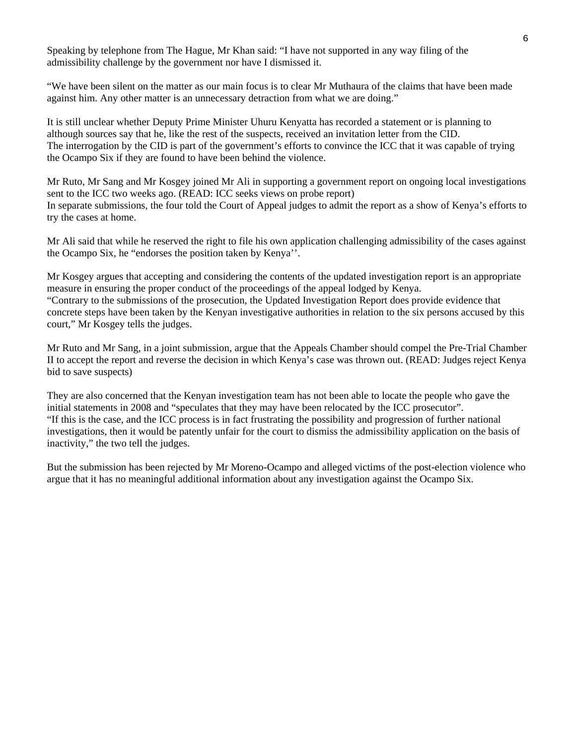Speaking by telephone from The Hague, Mr Khan said: "I have not supported in any way filing of the admissibility challenge by the government nor have I dismissed it.

"We have been silent on the matter as our main focus is to clear Mr Muthaura of the claims that have been made against him. Any other matter is an unnecessary detraction from what we are doing."

It is still unclear whether Deputy Prime Minister Uhuru Kenyatta has recorded a statement or is planning to although sources say that he, like the rest of the suspects, received an invitation letter from the CID. The interrogation by the CID is part of the government's efforts to convince the ICC that it was capable of trying the Ocampo Six if they are found to have been behind the violence.

Mr Ruto, Mr Sang and Mr Kosgey joined Mr Ali in supporting a government report on ongoing local investigations sent to the ICC two weeks ago. (READ: [ICC seeks views on probe report](http://www.nation.co.ke/News/politics/ICC+seeks+views+on+probe+report++/-/1064/1204170/-/finfu2/-/index.html)) In separate submissions, the four told the Court of Appeal judges to admit the report as a show of Kenya's efforts to try the cases at home.

Mr Ali said that while he reserved the right to file his own application challenging admissibility of the cases against the Ocampo Six, he "endorses the position taken by Kenya''.

Mr Kosgey argues that accepting and considering the contents of the updated investigation report is an appropriate measure in ensuring the proper conduct of the proceedings of the appeal lodged by Kenya. "Contrary to the submissions of the prosecution, the Updated Investigation Report does provide evidence that concrete steps have been taken by the Kenyan investigative authorities in relation to the six persons accused by this court," Mr Kosgey tells the judges.

Mr Ruto and Mr Sang, in a joint submission, argue that the Appeals Chamber should compel the Pre-Trial Chamber II to accept the report and reverse the decision in which Kenya's case was thrown out. (READ: [Judges reject Kenya](http://www.nation.co.ke/News/politics/Judges+reject+Kenya+bid+to+save+suspects+/-/1064/1172184/-/wlegnbz/-/index.html)  [bid to save suspects\)](http://www.nation.co.ke/News/politics/Judges+reject+Kenya+bid+to+save+suspects+/-/1064/1172184/-/wlegnbz/-/index.html)

They are also concerned that the Kenyan investigation team has not been able to locate the people who gave the initial statements in 2008 and "speculates that they may have been relocated by the ICC prosecutor". "If this is the case, and the ICC process is in fact frustrating the possibility and progression of further national investigations, then it would be patently unfair for the court to dismiss the admissibility application on the basis of inactivity," the two tell the judges.

But the submission has been rejected by Mr Moreno-Ocampo and alleged victims of the post-election violence who argue that it has no meaningful additional information about any investigation against the Ocampo Six.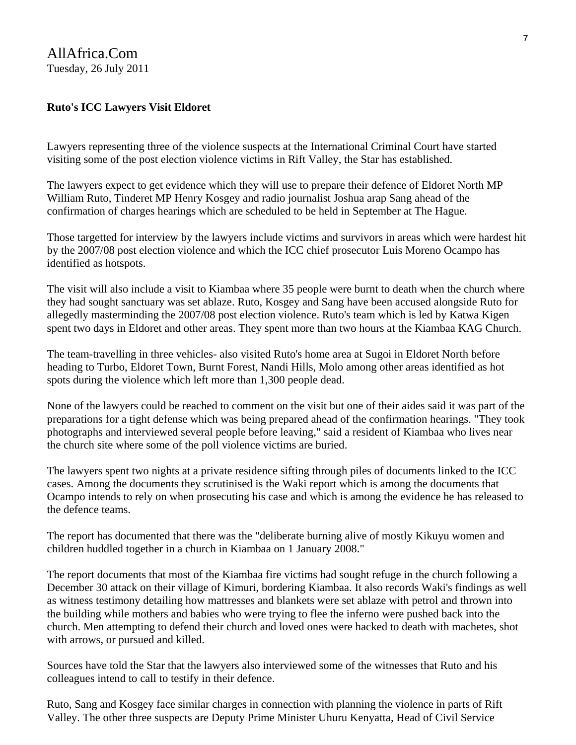### AllAfrica.Com Tuesday, 26 July 2011

### **Ruto's ICC Lawyers Visit Eldoret**

Lawyers representing three of the violence suspects at the International Criminal Court have started visiting some of the post election violence victims in Rift Valley, the Star has established.

The lawyers expect to get evidence which they will use to prepare their defence of Eldoret North MP William Ruto, Tinderet MP Henry Kosgey and radio journalist Joshua arap Sang ahead of the confirmation of charges hearings which are scheduled to be held in September at The Hague.

Those targetted for interview by the lawyers include victims and survivors in areas which were hardest hit by the 2007/08 post election violence and which the ICC chief prosecutor Luis Moreno Ocampo has identified as hotspots.

The visit will also include a visit to Kiambaa where 35 people were burnt to death when the church where they had sought sanctuary was set ablaze. Ruto, Kosgey and Sang have been accused alongside Ruto for allegedly masterminding the 2007/08 post election violence. Ruto's team which is led by Katwa Kigen spent two days in Eldoret and other areas. They spent more than two hours at the Kiambaa KAG Church.

The team-travelling in three vehicles- also visited Ruto's home area at Sugoi in Eldoret North before heading to Turbo, Eldoret Town, Burnt Forest, Nandi Hills, Molo among other areas identified as hot spots during the violence which left more than 1,300 people dead.

None of the lawyers could be reached to comment on the visit but one of their aides said it was part of the preparations for a tight defense which was being prepared ahead of the confirmation hearings. "They took photographs and interviewed several people before leaving," said a resident of Kiambaa who lives near the church site where some of the poll violence victims are buried.

The lawyers spent two nights at a private residence sifting through piles of documents linked to the ICC cases. Among the documents they scrutinised is the Waki report which is among the documents that Ocampo intends to rely on when prosecuting his case and which is among the evidence he has released to the defence teams.

The report has documented that there was the "deliberate burning alive of mostly Kikuyu women and children huddled together in a church in Kiambaa on 1 January 2008."

The report documents that most of the Kiambaa fire victims had sought refuge in the church following a December 30 attack on their village of Kimuri, bordering Kiambaa. It also records Waki's findings as well as witness testimony detailing how mattresses and blankets were set ablaze with petrol and thrown into the building while mothers and babies who were trying to flee the inferno were pushed back into the church. Men attempting to defend their church and loved ones were hacked to death with machetes, shot with arrows, or pursued and killed.

Sources have told the Star that the lawyers also interviewed some of the witnesses that Ruto and his colleagues intend to call to testify in their defence.

Ruto, Sang and Kosgey face similar charges in connection with planning the violence in parts of Rift Valley. The other three suspects are Deputy Prime Minister Uhuru Kenyatta, Head of Civil Service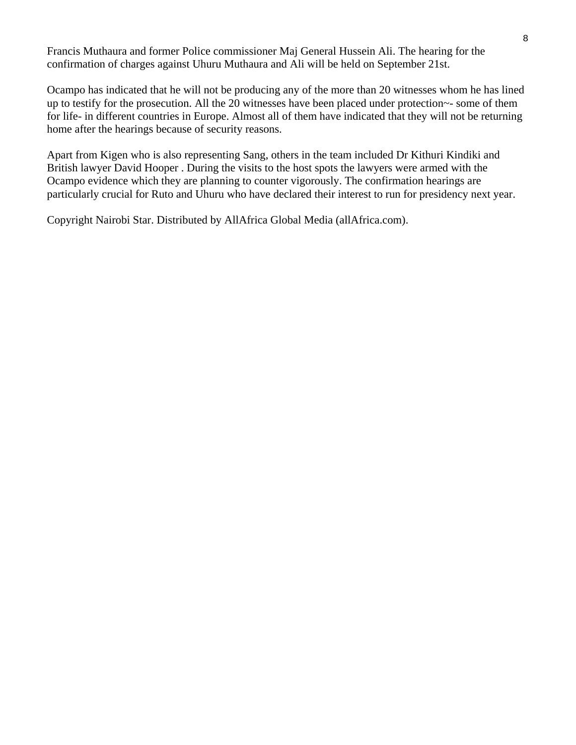Francis Muthaura and former Police commissioner Maj General Hussein Ali. The hearing for the confirmation of charges against Uhuru Muthaura and Ali will be held on September 21st.

Ocampo has indicated that he will not be producing any of the more than 20 witnesses whom he has lined up to testify for the prosecution. All the 20 witnesses have been placed under protection~- some of them for life- in different countries in Europe. Almost all of them have indicated that they will not be returning home after the hearings because of security reasons.

Apart from Kigen who is also representing Sang, others in the team included Dr Kithuri Kindiki and British lawyer David Hooper . During the visits to the host spots the lawyers were armed with the Ocampo evidence which they are planning to counter vigorously. The confirmation hearings are particularly crucial for Ruto and Uhuru who have declared their interest to run for presidency next year.

Copyright Nairobi Star. Distributed by AllAfrica Global Media (allAfrica.com).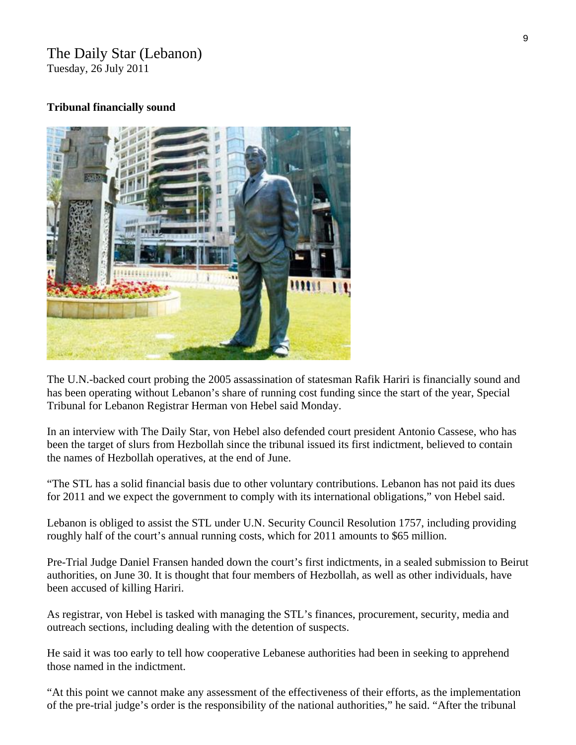## The Daily Star (Lebanon)

Tuesday, 26 July 2011

### **Tribunal financially sound**



The U.N.-backed court probing the 2005 assassination of statesman Rafik Hariri is financially sound and has been operating without Lebanon's share of running cost funding since the start of the year, Special Tribunal for Lebanon Registrar Herman von Hebel said Monday.

In an interview with The Daily Star, von Hebel also defended court president Antonio Cassese, who has been the target of slurs from Hezbollah since the tribunal issued its first indictment, believed to contain the names of Hezbollah operatives, at the end of June.

"The STL has a solid financial basis due to other voluntary contributions. Lebanon has not paid its dues for 2011 and we expect the government to comply with its international obligations," von Hebel said.

Lebanon is obliged to assist the STL under U.N. Security Council Resolution 1757, including providing roughly half of the court's annual running costs, which for 2011 amounts to \$65 million.

Pre-Trial Judge Daniel Fransen handed down the court's first indictments, in a sealed submission to Beirut authorities, on June 30. It is thought that four members of Hezbollah, as well as other individuals, have been accused of killing Hariri.

As registrar, von Hebel is tasked with managing the STL's finances, procurement, security, media and outreach sections, including dealing with the detention of suspects.

He said it was too early to tell how cooperative Lebanese authorities had been in seeking to apprehend those named in the indictment.

"At this point we cannot make any assessment of the effectiveness of their efforts, as the implementation of the pre-trial judge's order is the responsibility of the national authorities," he said. "After the tribunal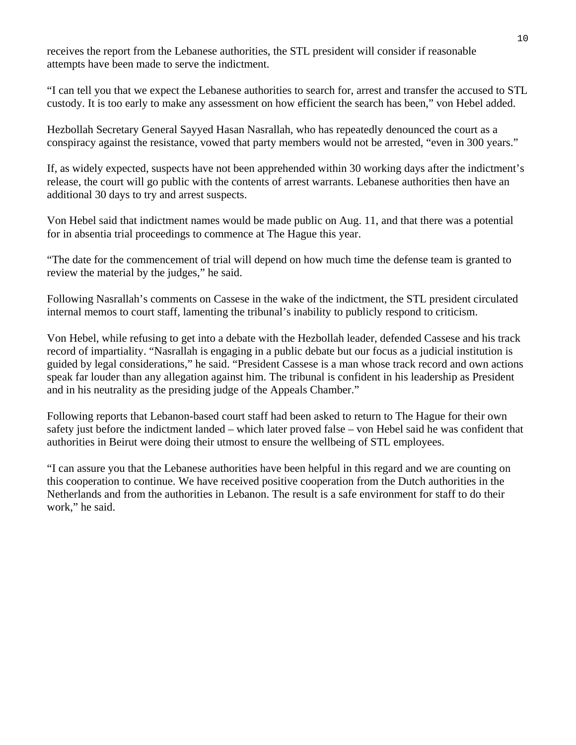receives the report from the Lebanese authorities, the STL president will consider if reasonable attempts have been made to serve the indictment.

"I can tell you that we expect the Lebanese authorities to search for, arrest and transfer the accused to STL custody. It is too early to make any assessment on how efficient the search has been," von Hebel added.

Hezbollah Secretary General Sayyed Hasan Nasrallah, who has repeatedly denounced the court as a conspiracy against the resistance, vowed that party members would not be arrested, "even in 300 years."

If, as widely expected, suspects have not been apprehended within 30 working days after the indictment's release, the court will go public with the contents of arrest warrants. Lebanese authorities then have an additional 30 days to try and arrest suspects.

Von Hebel said that indictment names would be made public on Aug. 11, and that there was a potential for in absentia trial proceedings to commence at The Hague this year.

"The date for the commencement of trial will depend on how much time the defense team is granted to review the material by the judges," he said.

Following Nasrallah's comments on Cassese in the wake of the indictment, the STL president circulated internal memos to court staff, lamenting the tribunal's inability to publicly respond to criticism.

Von Hebel, while refusing to get into a debate with the Hezbollah leader, defended Cassese and his track record of impartiality. "Nasrallah is engaging in a public debate but our focus as a judicial institution is guided by legal considerations," he said. "President Cassese is a man whose track record and own actions speak far louder than any allegation against him. The tribunal is confident in his leadership as President and in his neutrality as the presiding judge of the Appeals Chamber."

Following reports that Lebanon-based court staff had been asked to return to The Hague for their own safety just before the indictment landed – which later proved false – von Hebel said he was confident that authorities in Beirut were doing their utmost to ensure the wellbeing of STL employees.

"I can assure you that the Lebanese authorities have been helpful in this regard and we are counting on this cooperation to continue. We have received positive cooperation from the Dutch authorities in the Netherlands and from the authorities in Lebanon. The result is a safe environment for staff to do their work," he said.